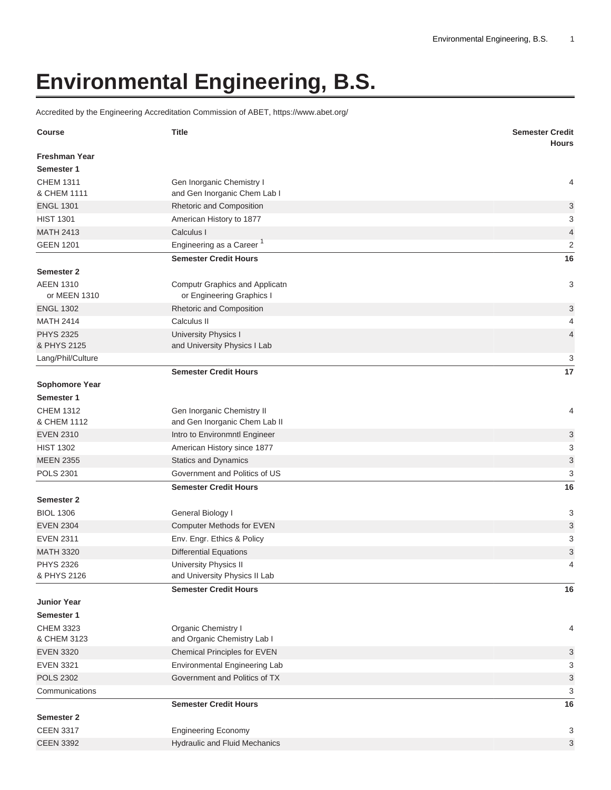## **Environmental Engineering, B.S.**

Accredited by the Engineering Accreditation Commission of ABET, <https://www.abet.org/>

| <b>Course</b>                      | <b>Title</b>                                                  | <b>Semester Credit</b><br><b>Hours</b> |
|------------------------------------|---------------------------------------------------------------|----------------------------------------|
| <b>Freshman Year</b><br>Semester 1 |                                                               |                                        |
| <b>CHEM 1311</b><br>& CHEM 1111    | Gen Inorganic Chemistry I                                     | 4                                      |
| <b>ENGL 1301</b>                   | and Gen Inorganic Chem Lab I                                  |                                        |
| <b>HIST 1301</b>                   | Rhetoric and Composition                                      | 3<br>3                                 |
| <b>MATH 2413</b>                   | American History to 1877<br>Calculus I                        | $\sqrt{4}$                             |
| <b>GEEN 1201</b>                   | Engineering as a Career <sup>1</sup>                          | $\overline{2}$                         |
|                                    | <b>Semester Credit Hours</b>                                  | 16                                     |
| <b>Semester 2</b>                  |                                                               |                                        |
| <b>AEEN 1310</b>                   | Computr Graphics and Applicatn                                | 3                                      |
| or MEEN 1310                       | or Engineering Graphics I                                     |                                        |
| <b>ENGL 1302</b>                   | Rhetoric and Composition                                      | $\sqrt{3}$                             |
| <b>MATH 2414</b>                   | Calculus II                                                   | 4                                      |
| <b>PHYS 2325</b>                   | University Physics I                                          | $\overline{4}$                         |
| & PHYS 2125                        | and University Physics I Lab                                  |                                        |
| Lang/Phil/Culture                  |                                                               | 3                                      |
|                                    | <b>Semester Credit Hours</b>                                  | 17                                     |
| <b>Sophomore Year</b>              |                                                               |                                        |
| Semester 1                         |                                                               |                                        |
| <b>CHEM 1312</b>                   | Gen Inorganic Chemistry II                                    | 4                                      |
| & CHEM 1112                        | and Gen Inorganic Chem Lab II                                 |                                        |
| <b>EVEN 2310</b>                   | Intro to Environmntl Engineer                                 | 3                                      |
| <b>HIST 1302</b>                   | American History since 1877                                   | 3                                      |
| <b>MEEN 2355</b>                   | <b>Statics and Dynamics</b>                                   | $\sqrt{3}$                             |
| <b>POLS 2301</b>                   | Government and Politics of US                                 | 3                                      |
|                                    | <b>Semester Credit Hours</b>                                  | 16                                     |
| <b>Semester 2</b>                  |                                                               |                                        |
| <b>BIOL 1306</b>                   | General Biology I                                             | 3                                      |
| <b>EVEN 2304</b>                   | Computer Methods for EVEN                                     | 3                                      |
| <b>EVEN 2311</b>                   | Env. Engr. Ethics & Policy                                    | 3                                      |
| <b>MATH 3320</b>                   | <b>Differential Equations</b>                                 | 3                                      |
| <b>PHYS 2326</b><br>& PHYS 2126    | <b>University Physics II</b><br>and University Physics II Lab | 4                                      |
|                                    | <b>Semester Credit Hours</b>                                  |                                        |
|                                    |                                                               | 16                                     |
| <b>Junior Year</b><br>Semester 1   |                                                               |                                        |
| <b>CHEM 3323</b>                   | Organic Chemistry I                                           | 4                                      |
| & CHEM 3123                        | and Organic Chemistry Lab I                                   |                                        |
| <b>EVEN 3320</b>                   | Chemical Principles for EVEN                                  | $\mathbf{3}$                           |
| <b>EVEN 3321</b>                   | Environmental Engineering Lab                                 | 3                                      |
| <b>POLS 2302</b>                   | Government and Politics of TX                                 | $\sqrt{3}$                             |
| Communications                     |                                                               | 3                                      |
|                                    | <b>Semester Credit Hours</b>                                  | 16                                     |
| Semester 2                         |                                                               |                                        |
| <b>CEEN 3317</b>                   | <b>Engineering Economy</b>                                    | 3                                      |
| <b>CEEN 3392</b>                   | <b>Hydraulic and Fluid Mechanics</b>                          | $\mathbf{3}$                           |
|                                    |                                                               |                                        |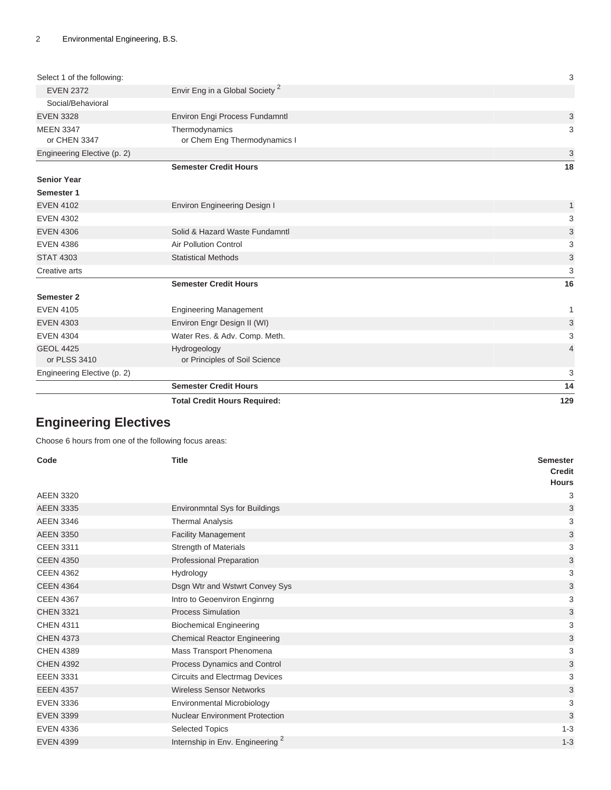|                                  | <b>Total Credit Hours Required:</b>           | 129          |
|----------------------------------|-----------------------------------------------|--------------|
|                                  | <b>Semester Credit Hours</b>                  | 14           |
| Engineering Elective (p. 2)      |                                               | 3            |
| <b>GEOL 4425</b><br>or PLSS 3410 | Hydrogeology<br>or Principles of Soil Science | 4            |
| <b>EVEN 4304</b>                 | Water Res. & Adv. Comp. Meth.                 | 3            |
| <b>EVEN 4303</b>                 | Environ Engr Design II (WI)                   | 3            |
| <b>EVEN 4105</b>                 | <b>Engineering Management</b>                 | 1            |
| <b>Semester 2</b>                | <b>Semester Credit Hours</b>                  | 16           |
| Creative arts                    |                                               | 3            |
| <b>STAT 4303</b>                 | <b>Statistical Methods</b>                    | 3            |
| <b>EVEN 4386</b>                 | <b>Air Pollution Control</b>                  | 3            |
| <b>EVEN 4306</b>                 | Solid & Hazard Waste Fundamntl                | 3            |
| <b>EVEN 4302</b>                 |                                               | 3            |
| <b>EVEN 4102</b>                 | <b>Environ Engineering Design I</b>           | $\mathbf{1}$ |
| Semester 1                       |                                               |              |
| <b>Senior Year</b>               |                                               |              |
|                                  | <b>Semester Credit Hours</b>                  | 18           |
| Engineering Elective (p. 2)      |                                               | 3            |
| or CHEN 3347                     | or Chem Eng Thermodynamics I                  |              |
| <b>MEEN 3347</b>                 | Thermodynamics                                | 3            |
| <b>EVEN 3328</b>                 | Environ Engi Process Fundamntl                | 3            |
| Social/Behavioral                |                                               |              |
| <b>EVEN 2372</b>                 | Envir Eng in a Global Society <sup>2</sup>    |              |
| Select 1 of the following:       |                                               | 3            |

## <span id="page-1-0"></span>**Engineering Electives**

Choose 6 hours from one of the following focus areas:

| Code             | <b>Title</b>                                | <b>Semester</b><br><b>Credit</b><br><b>Hours</b> |
|------------------|---------------------------------------------|--------------------------------------------------|
| <b>AEEN 3320</b> |                                             | 3                                                |
| <b>AEEN 3335</b> | <b>Environmntal Sys for Buildings</b>       | 3                                                |
| <b>AEEN 3346</b> | <b>Thermal Analysis</b>                     | 3                                                |
| <b>AEEN 3350</b> | <b>Facility Management</b>                  | 3                                                |
| <b>CEEN 3311</b> | <b>Strength of Materials</b>                | 3                                                |
| <b>CEEN 4350</b> | Professional Preparation                    | 3                                                |
| <b>CEEN 4362</b> | Hydrology                                   | 3                                                |
| <b>CEEN 4364</b> | Dsgn Wtr and Wstwrt Convey Sys              | 3                                                |
| <b>CEEN 4367</b> | Intro to Geoenviron Enginrng                | 3                                                |
| <b>CHEN 3321</b> | <b>Process Simulation</b>                   | 3                                                |
| <b>CHEN 4311</b> | <b>Biochemical Engineering</b>              | 3                                                |
| <b>CHEN 4373</b> | <b>Chemical Reactor Engineering</b>         | 3                                                |
| <b>CHEN 4389</b> | Mass Transport Phenomena                    | 3                                                |
| <b>CHEN 4392</b> | Process Dynamics and Control                | 3                                                |
| <b>EEEN 3331</b> | Circuits and Electrmag Devices              | 3                                                |
| <b>EEEN 4357</b> | <b>Wireless Sensor Networks</b>             | 3                                                |
| <b>EVEN 3336</b> | Environmental Microbiology                  | 3                                                |
| <b>EVEN 3399</b> | <b>Nuclear Environment Protection</b>       | 3                                                |
| <b>EVEN 4336</b> | <b>Selected Topics</b>                      | $1 - 3$                                          |
| <b>EVEN 4399</b> | Internship in Env. Engineering <sup>2</sup> | $1 - 3$                                          |